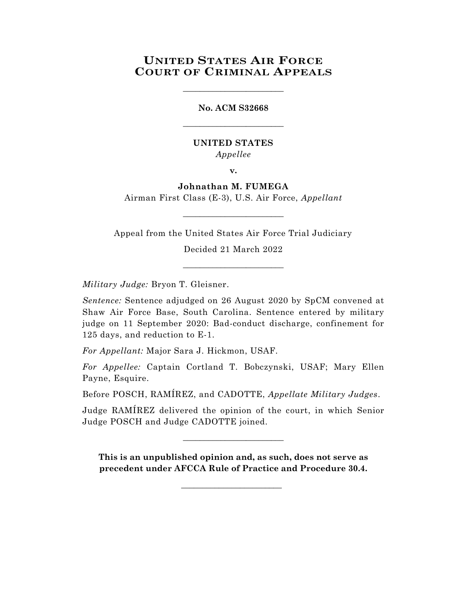# **UNITED STATES AIR FORCE COURT OF CRIMINAL APPEALS**

\_\_\_\_\_\_\_\_\_\_\_\_\_\_\_\_\_\_\_\_\_\_\_\_

# **No. ACM S32668** \_\_\_\_\_\_\_\_\_\_\_\_\_\_\_\_\_\_\_\_\_\_\_\_

## **UNITED STATES** *Appellee*

**v.**

# **Johnathan M. FUMEGA**

Airman First Class (E-3), U.S. Air Force, *Appellant* \_\_\_\_\_\_\_\_\_\_\_\_\_\_\_\_\_\_\_\_\_\_\_\_

Appeal from the United States Air Force Trial Judiciary

Decided 21 March 2022 \_\_\_\_\_\_\_\_\_\_\_\_\_\_\_\_\_\_\_\_\_\_\_\_

*Military Judge:* Bryon T. Gleisner.

*Sentence:* Sentence adjudged on 26 August 2020 by SpCM convened at Shaw Air Force Base, South Carolina. Sentence entered by military judge on 11 September 2020: Bad-conduct discharge, confinement for 125 days, and reduction to E-1.

*For Appellant:* Major Sara J. Hickmon, USAF.

*For Appellee:* Captain Cortland T. Bobczynski, USAF; Mary Ellen Payne, Esquire.

Before POSCH, RAMÍREZ, and CADOTTE, *Appellate Military Judges*.

Judge RAMÍREZ delivered the opinion of the court, in which Senior Judge POSCH and Judge CADOTTE joined.

\_\_\_\_\_\_\_\_\_\_\_\_\_\_\_\_\_\_\_\_\_\_\_\_

**This is an unpublished opinion and, as such, does not serve as precedent under AFCCA Rule of Practice and Procedure 30.4.**

\_\_\_\_\_\_\_\_\_\_\_\_\_\_\_\_\_\_\_\_\_\_\_\_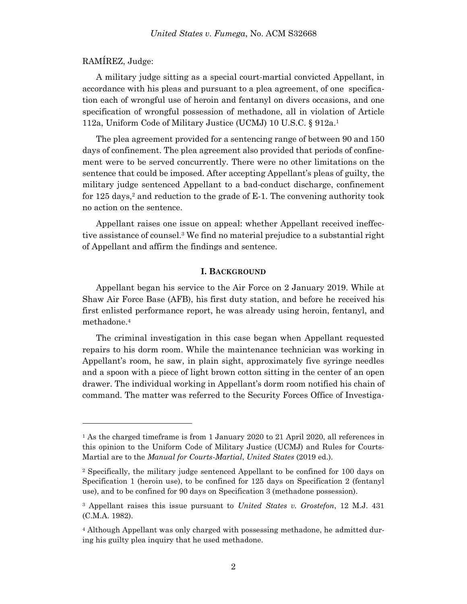### RAMÍREZ, Judge:

A military judge sitting as a special court-martial convicted Appellant, in accordance with his pleas and pursuant to a plea agreement, of one specification each of wrongful use of heroin and fentanyl on divers occasions, and one specification of wrongful possession of methadone, all in violation of Article 112a, Uniform Code of Military Justice (UCMJ) 10 U.S.C. § 912a. 1

The plea agreement provided for a sentencing range of between 90 and 150 days of confinement. The plea agreement also provided that periods of confinement were to be served concurrently. There were no other limitations on the sentence that could be imposed. After accepting Appellant's pleas of guilty, the military judge sentenced Appellant to a bad-conduct discharge, confinement for 125 days, <sup>2</sup> and reduction to the grade of E-1. The convening authority took no action on the sentence.

Appellant raises one issue on appeal: whether Appellant received ineffective assistance of counsel. <sup>3</sup> We find no material prejudice to a substantial right of Appellant and affirm the findings and sentence.

#### **I. BACKGROUND**

Appellant began his service to the Air Force on 2 January 2019. While at Shaw Air Force Base (AFB), his first duty station, and before he received his first enlisted performance report, he was already using heroin, fentanyl, and methadone. 4

The criminal investigation in this case began when Appellant requested repairs to his dorm room. While the maintenance technician was working in Appellant's room, he saw, in plain sight, approximately five syringe needles and a spoon with a piece of light brown cotton sitting in the center of an open drawer. The individual working in Appellant's dorm room notified his chain of command. The matter was referred to the Security Forces Office of Investiga-

<sup>1</sup> As the charged timeframe is from 1 January 2020 to 21 April 2020, all references in this opinion to the Uniform Code of Military Justice (UCMJ) and Rules for Courts-Martial are to the *Manual for Courts-Martial*, *United States* (2019 ed.).

<sup>2</sup> Specifically, the military judge sentenced Appellant to be confined for 100 days on Specification 1 (heroin use), to be confined for 125 days on Specification 2 (fentanyl use), and to be confined for 90 days on Specification 3 (methadone possession).

<sup>3</sup> Appellant raises this issue pursuant to *United States v. Grostefon*, 12 M.J. 431 (C.M.A. 1982).

<sup>4</sup> Although Appellant was only charged with possessing methadone, he admitted during his guilty plea inquiry that he used methadone.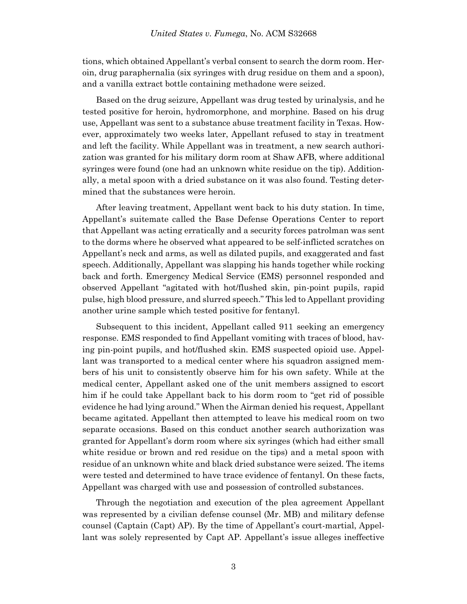tions, which obtained Appellant's verbal consent to search the dorm room. Heroin, drug paraphernalia (six syringes with drug residue on them and a spoon), and a vanilla extract bottle containing methadone were seized.

Based on the drug seizure, Appellant was drug tested by urinalysis, and he tested positive for heroin, hydromorphone, and morphine. Based on his drug use, Appellant was sent to a substance abuse treatment facility in Texas. However, approximately two weeks later, Appellant refused to stay in treatment and left the facility. While Appellant was in treatment, a new search authorization was granted for his military dorm room at Shaw AFB, where additional syringes were found (one had an unknown white residue on the tip). Additionally, a metal spoon with a dried substance on it was also found. Testing determined that the substances were heroin.

After leaving treatment, Appellant went back to his duty station. In time, Appellant's suitemate called the Base Defense Operations Center to report that Appellant was acting erratically and a security forces patrolman was sent to the dorms where he observed what appeared to be self-inflicted scratches on Appellant's neck and arms, as well as dilated pupils, and exaggerated and fast speech. Additionally, Appellant was slapping his hands together while rocking back and forth. Emergency Medical Service (EMS) personnel responded and observed Appellant "agitated with hot/flushed skin, pin-point pupils, rapid pulse, high blood pressure, and slurred speech." This led to Appellant providing another urine sample which tested positive for fentanyl.

Subsequent to this incident, Appellant called 911 seeking an emergency response. EMS responded to find Appellant vomiting with traces of blood, having pin-point pupils, and hot/flushed skin. EMS suspected opioid use. Appellant was transported to a medical center where his squadron assigned members of his unit to consistently observe him for his own safety. While at the medical center, Appellant asked one of the unit members assigned to escort him if he could take Appellant back to his dorm room to "get rid of possible evidence he had lying around." When the Airman denied his request, Appellant became agitated. Appellant then attempted to leave his medical room on two separate occasions. Based on this conduct another search authorization was granted for Appellant's dorm room where six syringes (which had either small white residue or brown and red residue on the tips) and a metal spoon with residue of an unknown white and black dried substance were seized. The items were tested and determined to have trace evidence of fentanyl. On these facts, Appellant was charged with use and possession of controlled substances.

Through the negotiation and execution of the plea agreement Appellant was represented by a civilian defense counsel (Mr. MB) and military defense counsel (Captain (Capt) AP). By the time of Appellant's court-martial, Appellant was solely represented by Capt AP. Appellant's issue alleges ineffective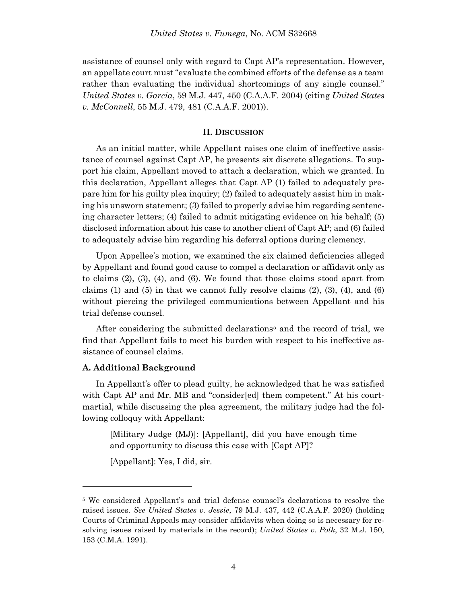assistance of counsel only with regard to Capt AP's representation. However, an appellate court must "evaluate the combined efforts of the defense as a team rather than evaluating the individual shortcomings of any single counsel." *United States v. Garcia*, 59 M.J. 447, 450 (C.A.A.F. 2004) (citing *United States v. McConnell*, 55 M.J. 479, 481 (C.A.A.F. 2001)).

#### **II. DISCUSSION**

As an initial matter, while Appellant raises one claim of ineffective assistance of counsel against Capt AP, he presents six discrete allegations. To support his claim, Appellant moved to attach a declaration, which we granted. In this declaration, Appellant alleges that Capt AP (1) failed to adequately prepare him for his guilty plea inquiry; (2) failed to adequately assist him in making his unsworn statement; (3) failed to properly advise him regarding sentencing character letters; (4) failed to admit mitigating evidence on his behalf; (5) disclosed information about his case to another client of Capt AP; and (6) failed to adequately advise him regarding his deferral options during clemency.

Upon Appellee's motion, we examined the six claimed deficiencies alleged by Appellant and found good cause to compel a declaration or affidavit only as to claims (2), (3), (4), and (6). We found that those claims stood apart from claims (1) and (5) in that we cannot fully resolve claims  $(2)$ ,  $(3)$ ,  $(4)$ , and  $(6)$ without piercing the privileged communications between Appellant and his trial defense counsel.

After considering the submitted declarations<sup>5</sup> and the record of trial, we find that Appellant fails to meet his burden with respect to his ineffective assistance of counsel claims.

#### **A. Additional Background**

l

In Appellant's offer to plead guilty, he acknowledged that he was satisfied with Capt AP and Mr. MB and "consider[ed] them competent." At his courtmartial, while discussing the plea agreement, the military judge had the following colloquy with Appellant:

[Military Judge (MJ)]: [Appellant], did you have enough time and opportunity to discuss this case with [Capt AP]?

[Appellant]: Yes, I did, sir.

<sup>5</sup> We considered Appellant's and trial defense counsel's declarations to resolve the raised issues. *See United States v. Jessie*, 79 M.J. 437, 442 (C.A.A.F. 2020) (holding Courts of Criminal Appeals may consider affidavits when doing so is necessary for resolving issues raised by materials in the record); *United States v. Polk*, 32 M.J. 150, 153 (C.M.A. 1991).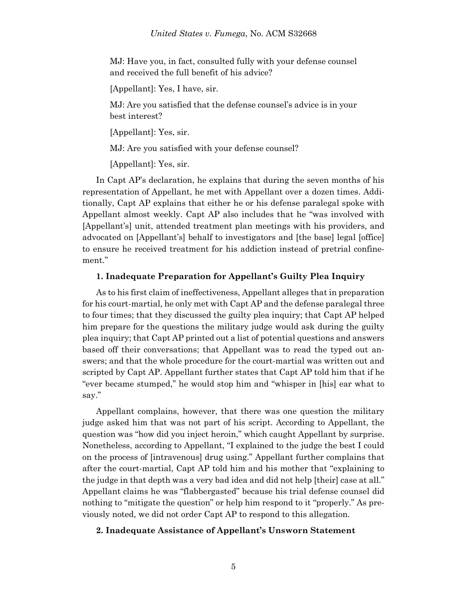MJ: Have you, in fact, consulted fully with your defense counsel and received the full benefit of his advice?

[Appellant]: Yes, I have, sir.

MJ: Are you satisfied that the defense counsel's advice is in your best interest?

[Appellant]: Yes, sir.

MJ: Are you satisfied with your defense counsel?

[Appellant]: Yes, sir.

In Capt AP's declaration, he explains that during the seven months of his representation of Appellant, he met with Appellant over a dozen times. Additionally, Capt AP explains that either he or his defense paralegal spoke with Appellant almost weekly. Capt AP also includes that he "was involved with [Appellant's] unit, attended treatment plan meetings with his providers, and advocated on [Appellant's] behalf to investigators and [the base] legal [office] to ensure he received treatment for his addiction instead of pretrial confinement."

#### **1. Inadequate Preparation for Appellant's Guilty Plea Inquiry**

As to his first claim of ineffectiveness, Appellant alleges that in preparation for his court-martial, he only met with Capt AP and the defense paralegal three to four times; that they discussed the guilty plea inquiry; that Capt AP helped him prepare for the questions the military judge would ask during the guilty plea inquiry; that Capt AP printed out a list of potential questions and answers based off their conversations; that Appellant was to read the typed out answers; and that the whole procedure for the court-martial was written out and scripted by Capt AP. Appellant further states that Capt AP told him that if he "ever became stumped," he would stop him and "whisper in [his] ear what to say."

Appellant complains, however, that there was one question the military judge asked him that was not part of his script. According to Appellant, the question was "how did you inject heroin," which caught Appellant by surprise. Nonetheless, according to Appellant, "I explained to the judge the best I could on the process of [intravenous] drug using." Appellant further complains that after the court-martial, Capt AP told him and his mother that "explaining to the judge in that depth was a very bad idea and did not help [their] case at all." Appellant claims he was "flabbergasted" because his trial defense counsel did nothing to "mitigate the question" or help him respond to it "properly." As previously noted, we did not order Capt AP to respond to this allegation.

#### **2. Inadequate Assistance of Appellant's Unsworn Statement**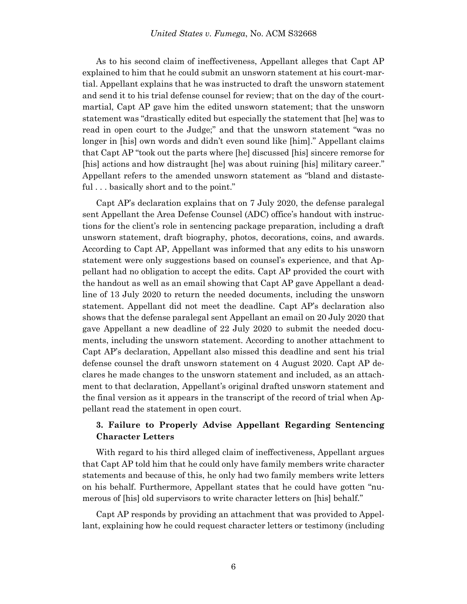As to his second claim of ineffectiveness, Appellant alleges that Capt AP explained to him that he could submit an unsworn statement at his court-martial. Appellant explains that he was instructed to draft the unsworn statement and send it to his trial defense counsel for review; that on the day of the courtmartial, Capt AP gave him the edited unsworn statement; that the unsworn statement was "drastically edited but especially the statement that [he] was to read in open court to the Judge;" and that the unsworn statement "was no longer in [his] own words and didn't even sound like [him]." Appellant claims that Capt AP "took out the parts where [he] discussed [his] sincere remorse for [his] actions and how distraught [he] was about ruining [his] military career." Appellant refers to the amended unsworn statement as "bland and distasteful . . . basically short and to the point."

Capt AP's declaration explains that on 7 July 2020, the defense paralegal sent Appellant the Area Defense Counsel (ADC) office's handout with instructions for the client's role in sentencing package preparation, including a draft unsworn statement, draft biography, photos, decorations, coins, and awards. According to Capt AP, Appellant was informed that any edits to his unsworn statement were only suggestions based on counsel's experience, and that Appellant had no obligation to accept the edits. Capt AP provided the court with the handout as well as an email showing that Capt AP gave Appellant a deadline of 13 July 2020 to return the needed documents, including the unsworn statement. Appellant did not meet the deadline. Capt AP's declaration also shows that the defense paralegal sent Appellant an email on 20 July 2020 that gave Appellant a new deadline of 22 July 2020 to submit the needed documents, including the unsworn statement. According to another attachment to Capt AP's declaration, Appellant also missed this deadline and sent his trial defense counsel the draft unsworn statement on 4 August 2020. Capt AP declares he made changes to the unsworn statement and included, as an attachment to that declaration, Appellant's original drafted unsworn statement and the final version as it appears in the transcript of the record of trial when Appellant read the statement in open court.

# **3. Failure to Properly Advise Appellant Regarding Sentencing Character Letters**

With regard to his third alleged claim of ineffectiveness, Appellant argues that Capt AP told him that he could only have family members write character statements and because of this, he only had two family members write letters on his behalf. Furthermore, Appellant states that he could have gotten "numerous of [his] old supervisors to write character letters on [his] behalf."

Capt AP responds by providing an attachment that was provided to Appellant, explaining how he could request character letters or testimony (including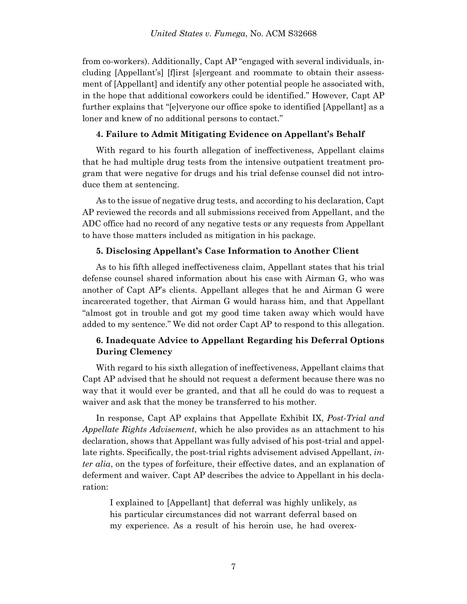from co-workers). Additionally, Capt AP "engaged with several individuals, including [Appellant's] [f]irst [s]ergeant and roommate to obtain their assessment of [Appellant] and identify any other potential people he associated with, in the hope that additional coworkers could be identified." However, Capt AP further explains that "[e]veryone our office spoke to identified [Appellant] as a loner and knew of no additional persons to contact."

### **4. Failure to Admit Mitigating Evidence on Appellant's Behalf**

With regard to his fourth allegation of ineffectiveness, Appellant claims that he had multiple drug tests from the intensive outpatient treatment program that were negative for drugs and his trial defense counsel did not introduce them at sentencing.

As to the issue of negative drug tests, and according to his declaration, Capt AP reviewed the records and all submissions received from Appellant, and the ADC office had no record of any negative tests or any requests from Appellant to have those matters included as mitigation in his package.

### **5. Disclosing Appellant's Case Information to Another Client**

As to his fifth alleged ineffectiveness claim, Appellant states that his trial defense counsel shared information about his case with Airman G, who was another of Capt AP's clients. Appellant alleges that he and Airman G were incarcerated together, that Airman G would harass him, and that Appellant "almost got in trouble and got my good time taken away which would have added to my sentence." We did not order Capt AP to respond to this allegation.

# **6. Inadequate Advice to Appellant Regarding his Deferral Options During Clemency**

With regard to his sixth allegation of ineffectiveness, Appellant claims that Capt AP advised that he should not request a deferment because there was no way that it would ever be granted, and that all he could do was to request a waiver and ask that the money be transferred to his mother.

In response, Capt AP explains that Appellate Exhibit IX, *Post-Trial and Appellate Rights Advisement*, which he also provides as an attachment to his declaration, shows that Appellant was fully advised of his post-trial and appellate rights. Specifically, the post-trial rights advisement advised Appellant, *inter alia*, on the types of forfeiture, their effective dates, and an explanation of deferment and waiver. Capt AP describes the advice to Appellant in his declaration:

I explained to [Appellant] that deferral was highly unlikely, as his particular circumstances did not warrant deferral based on my experience. As a result of his heroin use, he had overex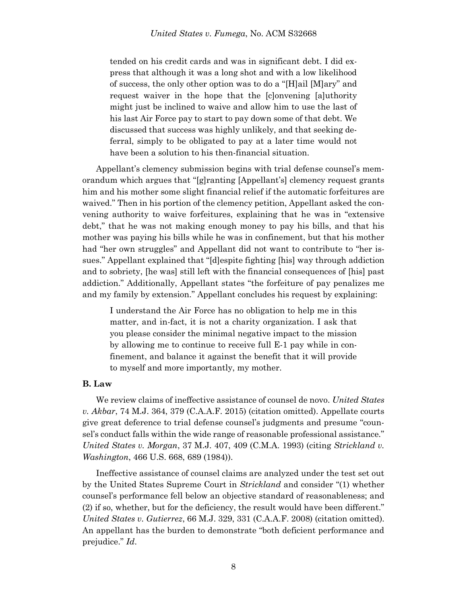tended on his credit cards and was in significant debt. I did express that although it was a long shot and with a low likelihood of success, the only other option was to do a "[H]ail [M]ary" and request waiver in the hope that the [c]onvening [a]uthority might just be inclined to waive and allow him to use the last of his last Air Force pay to start to pay down some of that debt. We discussed that success was highly unlikely, and that seeking deferral, simply to be obligated to pay at a later time would not have been a solution to his then-financial situation.

Appellant's clemency submission begins with trial defense counsel's memorandum which argues that "[g]ranting [Appellant's] clemency request grants him and his mother some slight financial relief if the automatic forfeitures are waived." Then in his portion of the clemency petition, Appellant asked the convening authority to waive forfeitures, explaining that he was in "extensive debt," that he was not making enough money to pay his bills, and that his mother was paying his bills while he was in confinement, but that his mother had "her own struggles" and Appellant did not want to contribute to "her issues." Appellant explained that "[d]espite fighting [his] way through addiction and to sobriety, [he was] still left with the financial consequences of [his] past addiction." Additionally, Appellant states "the forfeiture of pay penalizes me and my family by extension." Appellant concludes his request by explaining:

I understand the Air Force has no obligation to help me in this matter, and in-fact, it is not a charity organization. I ask that you please consider the minimal negative impact to the mission by allowing me to continue to receive full E-1 pay while in confinement, and balance it against the benefit that it will provide to myself and more importantly, my mother.

## **B. Law**

We review claims of ineffective assistance of counsel de novo. *United States v. Akbar*, 74 M.J. 364, 379 (C.A.A.F. 2015) (citation omitted). Appellate courts give great deference to trial defense counsel's judgments and presume "counsel's conduct falls within the wide range of reasonable professional assistance." *United States v. Morgan*, 37 M.J. 407, 409 (C.M.A. 1993) (citing *Strickland v. Washington*, 466 U.S. 668, 689 (1984)).

Ineffective assistance of counsel claims are analyzed under the test set out by the United States Supreme Court in *Strickland* and consider "(1) whether counsel's performance fell below an objective standard of reasonableness; and (2) if so, whether, but for the deficiency, the result would have been different." *United States v. Gutierrez*, 66 M.J. 329, 331 (C.A.A.F. 2008) (citation omitted). An appellant has the burden to demonstrate "both deficient performance and prejudice." *Id*.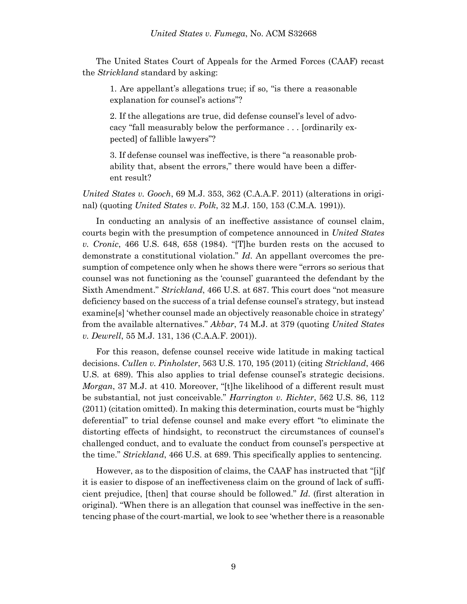The United States Court of Appeals for the Armed Forces (CAAF) recast the *Strickland* standard by asking:

1. Are appellant's allegations true; if so, "is there a reasonable explanation for counsel's actions"?

2. If the allegations are true, did defense counsel's level of advocacy "fall measurably below the performance . . . [ordinarily expected] of fallible lawyers"?

3. If defense counsel was ineffective, is there "a reasonable probability that, absent the errors," there would have been a different result?

*United States v. Gooch*, 69 M.J. 353, 362 (C.A.A.F. 2011) (alterations in original) (quoting *United States v. Polk*, 32 M.J. 150, 153 (C.M.A. 1991)).

In conducting an analysis of an ineffective assistance of counsel claim, courts begin with the presumption of competence announced in *United States v. Cronic*, 466 U.S. 648, 658 (1984). "[T]he burden rests on the accused to demonstrate a constitutional violation." *Id*. An appellant overcomes the presumption of competence only when he shows there were "errors so serious that counsel was not functioning as the 'counsel' guaranteed the defendant by the Sixth Amendment." *Strickland*, 466 U.S. at 687. This court does "not measure deficiency based on the success of a trial defense counsel's strategy, but instead examine[s] 'whether counsel made an objectively reasonable choice in strategy' from the available alternatives." *Akbar*, 74 M.J. at 379 (quoting *United States v. Dewrell*, 55 M.J. 131, 136 (C.A.A.F. 2001)).

For this reason, defense counsel receive wide latitude in making tactical decisions. *Cullen v. Pinholster*, 563 U.S. 170, 195 (2011) (citing *Strickland*, 466 U.S. at 689). This also applies to trial defense counsel's strategic decisions. *Morgan*, 37 M.J. at 410. Moreover, "[t]he likelihood of a different result must be substantial, not just conceivable." *Harrington v. Richter*, 562 U.S. 86, 112 (2011) (citation omitted). In making this determination, courts must be "highly deferential" to trial defense counsel and make every effort "to eliminate the distorting effects of hindsight, to reconstruct the circumstances of counsel's challenged conduct, and to evaluate the conduct from counsel's perspective at the time." *Strickland*, 466 U.S. at 689. This specifically applies to sentencing.

However, as to the disposition of claims, the CAAF has instructed that "[i]f it is easier to dispose of an ineffectiveness claim on the ground of lack of sufficient prejudice, [then] that course should be followed." *Id*. (first alteration in original). "When there is an allegation that counsel was ineffective in the sentencing phase of the court-martial, we look to see 'whether there is a reasonable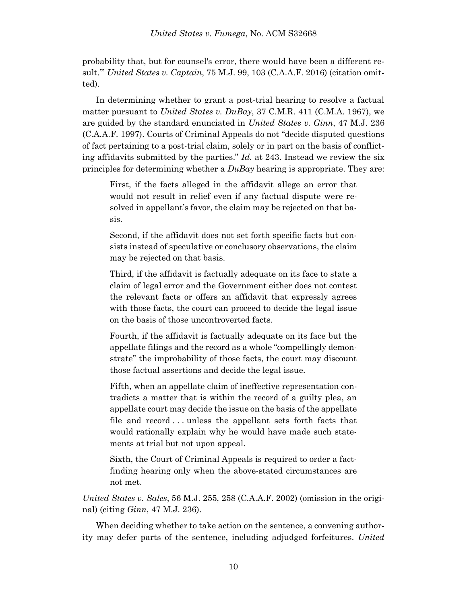probability that, but for counsel's error, there would have been a different result.'" *United States v. Captain*, 75 M.J. 99, 103 (C.A.A.F. 2016) (citation omitted).

In determining whether to grant a post-trial hearing to resolve a factual matter pursuant to *United States v. DuBay*, 37 C.M.R. 411 (C.M.A. 1967), we are guided by the standard enunciated in *United States v. Ginn*, 47 M.J. 236 (C.A.A.F. 1997). Courts of Criminal Appeals do not "decide disputed questions of fact pertaining to a post-trial claim, solely or in part on the basis of conflicting affidavits submitted by the parties." *Id.* at 243. Instead we review the six principles for determining whether a *DuBay* hearing is appropriate. They are:

First, if the facts alleged in the affidavit allege an error that would not result in relief even if any factual dispute were resolved in appellant's favor, the claim may be rejected on that basis.

Second, if the affidavit does not set forth specific facts but consists instead of speculative or conclusory observations, the claim may be rejected on that basis.

Third, if the affidavit is factually adequate on its face to state a claim of legal error and the Government either does not contest the relevant facts or offers an affidavit that expressly agrees with those facts, the court can proceed to decide the legal issue on the basis of those uncontroverted facts.

Fourth, if the affidavit is factually adequate on its face but the appellate filings and the record as a whole "compellingly demonstrate" the improbability of those facts, the court may discount those factual assertions and decide the legal issue.

Fifth, when an appellate claim of ineffective representation contradicts a matter that is within the record of a guilty plea, an appellate court may decide the issue on the basis of the appellate file and record . . . unless the appellant sets forth facts that would rationally explain why he would have made such statements at trial but not upon appeal.

Sixth, the Court of Criminal Appeals is required to order a factfinding hearing only when the above-stated circumstances are not met.

*United States v. Sales*, 56 M.J. 255, 258 (C.A.A.F. 2002) (omission in the original) (citing *Ginn*, 47 M.J. 236).

When deciding whether to take action on the sentence, a convening authority may defer parts of the sentence, including adjudged forfeitures. *United*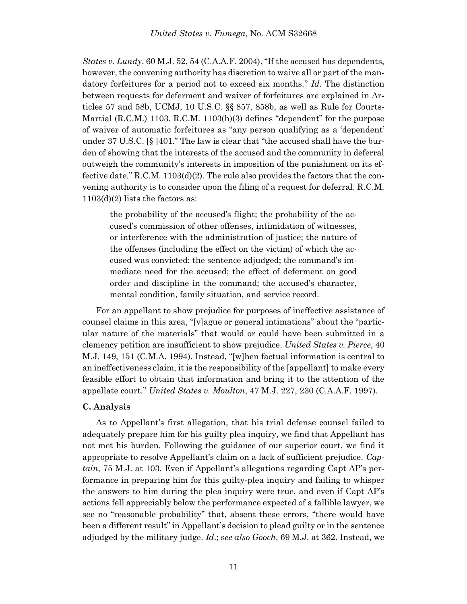*States v. Lundy*, 60 M.J. 52, 54 (C.A.A.F. 2004). "If the accused has dependents, however, the convening authority has discretion to waive all or part of the mandatory forfeitures for a period not to exceed six months." *Id*. The distinction between requests for deferment and waiver of forfeitures are explained in Articles 57 and 58b, UCMJ, 10 U.S.C. §§ 857, 858b, as well as Rule for Courts-Martial (R.C.M.) 1103. R.C.M. 1103(h)(3) defines "dependent" for the purpose of waiver of automatic forfeitures as "any person qualifying as a 'dependent' under 37 U.S.C.  $\S$  [401." The law is clear that "the accused shall have the burden of showing that the interests of the accused and the community in deferral outweigh the community's interests in imposition of the punishment on its effective date." R.C.M. 1103(d)(2). The rule also provides the factors that the convening authority is to consider upon the filing of a request for deferral. R.C.M.  $1103(d)(2)$  lists the factors as:

the probability of the accused's flight; the probability of the accused's commission of other offenses, intimidation of witnesses, or interference with the administration of justice; the nature of the offenses (including the effect on the victim) of which the accused was convicted; the sentence adjudged; the command's immediate need for the accused; the effect of deferment on good order and discipline in the command; the accused's character, mental condition, family situation, and service record.

For an appellant to show prejudice for purposes of ineffective assistance of counsel claims in this area, "[v]ague or general intimations" about the "particular nature of the materials" that would or could have been submitted in a clemency petition are insufficient to show prejudice. *United States v. Pierce*, 40 M.J. 149, 151 (C.M.A. 1994). Instead, "[w]hen factual information is central to an ineffectiveness claim, it is the responsibility of the [appellant] to make every feasible effort to obtain that information and bring it to the attention of the appellate court." *United States v. Moulton*, 47 M.J. 227, 230 (C.A.A.F. 1997).

## **C. Analysis**

As to Appellant's first allegation, that his trial defense counsel failed to adequately prepare him for his guilty plea inquiry, we find that Appellant has not met his burden. Following the guidance of our superior court, we find it appropriate to resolve Appellant's claim on a lack of sufficient prejudice. *Captain*, 75 M.J. at 103. Even if Appellant's allegations regarding Capt AP's performance in preparing him for this guilty-plea inquiry and failing to whisper the answers to him during the plea inquiry were true, and even if Capt AP's actions fell appreciably below the performance expected of a fallible lawyer, we see no "reasonable probability" that, absent these errors, "there would have been a different result" in Appellant's decision to plead guilty or in the sentence adjudged by the military judge. *Id*.; s*ee also Gooch*, 69 M.J. at 362. Instead, we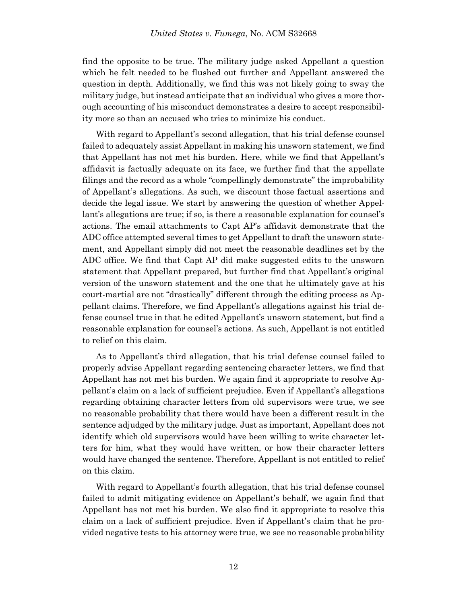find the opposite to be true. The military judge asked Appellant a question which he felt needed to be flushed out further and Appellant answered the question in depth. Additionally, we find this was not likely going to sway the military judge, but instead anticipate that an individual who gives a more thorough accounting of his misconduct demonstrates a desire to accept responsibility more so than an accused who tries to minimize his conduct.

With regard to Appellant's second allegation, that his trial defense counsel failed to adequately assist Appellant in making his unsworn statement, we find that Appellant has not met his burden. Here, while we find that Appellant's affidavit is factually adequate on its face, we further find that the appellate filings and the record as a whole "compellingly demonstrate" the improbability of Appellant's allegations. As such, we discount those factual assertions and decide the legal issue. We start by answering the question of whether Appellant's allegations are true; if so, is there a reasonable explanation for counsel's actions. The email attachments to Capt AP's affidavit demonstrate that the ADC office attempted several times to get Appellant to draft the unsworn statement, and Appellant simply did not meet the reasonable deadlines set by the ADC office. We find that Capt AP did make suggested edits to the unsworn statement that Appellant prepared, but further find that Appellant's original version of the unsworn statement and the one that he ultimately gave at his court-martial are not "drastically" different through the editing process as Appellant claims. Therefore, we find Appellant's allegations against his trial defense counsel true in that he edited Appellant's unsworn statement, but find a reasonable explanation for counsel's actions. As such, Appellant is not entitled to relief on this claim.

As to Appellant's third allegation, that his trial defense counsel failed to properly advise Appellant regarding sentencing character letters, we find that Appellant has not met his burden. We again find it appropriate to resolve Appellant's claim on a lack of sufficient prejudice. Even if Appellant's allegations regarding obtaining character letters from old supervisors were true, we see no reasonable probability that there would have been a different result in the sentence adjudged by the military judge. Just as important, Appellant does not identify which old supervisors would have been willing to write character letters for him, what they would have written, or how their character letters would have changed the sentence. Therefore, Appellant is not entitled to relief on this claim.

With regard to Appellant's fourth allegation, that his trial defense counsel failed to admit mitigating evidence on Appellant's behalf, we again find that Appellant has not met his burden. We also find it appropriate to resolve this claim on a lack of sufficient prejudice. Even if Appellant's claim that he provided negative tests to his attorney were true, we see no reasonable probability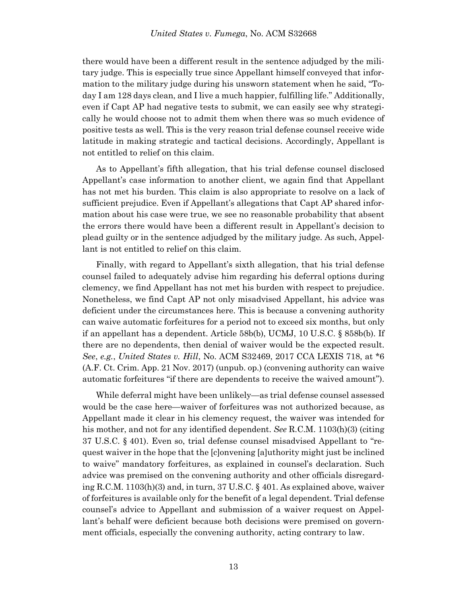there would have been a different result in the sentence adjudged by the military judge. This is especially true since Appellant himself conveyed that information to the military judge during his unsworn statement when he said, "Today I am 128 days clean, and I live a much happier, fulfilling life." Additionally, even if Capt AP had negative tests to submit, we can easily see why strategically he would choose not to admit them when there was so much evidence of positive tests as well. This is the very reason trial defense counsel receive wide latitude in making strategic and tactical decisions. Accordingly, Appellant is not entitled to relief on this claim.

As to Appellant's fifth allegation, that his trial defense counsel disclosed Appellant's case information to another client, we again find that Appellant has not met his burden. This claim is also appropriate to resolve on a lack of sufficient prejudice. Even if Appellant's allegations that Capt AP shared information about his case were true, we see no reasonable probability that absent the errors there would have been a different result in Appellant's decision to plead guilty or in the sentence adjudged by the military judge. As such, Appellant is not entitled to relief on this claim.

Finally, with regard to Appellant's sixth allegation, that his trial defense counsel failed to adequately advise him regarding his deferral options during clemency, we find Appellant has not met his burden with respect to prejudice. Nonetheless, we find Capt AP not only misadvised Appellant, his advice was deficient under the circumstances here. This is because a convening authority can waive automatic forfeitures for a period not to exceed six months, but only if an appellant has a dependent. Article 58b(b), UCMJ, 10 U.S.C. § 858b(b). If there are no dependents, then denial of waiver would be the expected result. *See*, *e.g.*, *United States v. Hill*, No. ACM S32469, 2017 CCA LEXIS 718, at \*6 (A.F. Ct. Crim. App. 21 Nov. 2017) (unpub. op.) (convening authority can waive automatic forfeitures "if there are dependents to receive the waived amount").

While deferral might have been unlikely—as trial defense counsel assessed would be the case here—waiver of forfeitures was not authorized because, as Appellant made it clear in his clemency request, the waiver was intended for his mother, and not for any identified dependent. *See* R.C.M. 1103(h)(3) (citing 37 U.S.C. § 401). Even so, trial defense counsel misadvised Appellant to "request waiver in the hope that the [c]onvening [a]uthority might just be inclined to waive" mandatory forfeitures, as explained in counsel's declaration. Such advice was premised on the convening authority and other officials disregarding R.C.M. 1103(h)(3) and, in turn, 37 U.S.C. § 401. As explained above, waiver of forfeitures is available only for the benefit of a legal dependent. Trial defense counsel's advice to Appellant and submission of a waiver request on Appellant's behalf were deficient because both decisions were premised on government officials, especially the convening authority, acting contrary to law.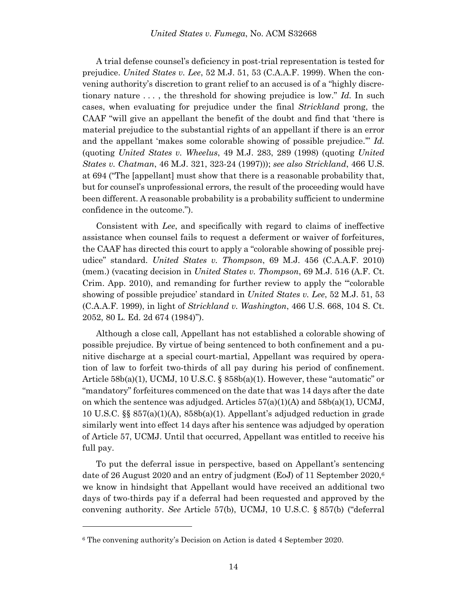A trial defense counsel's deficiency in post-trial representation is tested for prejudice. *United States v. Lee*, 52 M.J. 51, 53 (C.A.A.F. 1999). When the convening authority's discretion to grant relief to an accused is of a "highly discretionary nature . . . , the threshold for showing prejudice is low." *Id.* In such cases, when evaluating for prejudice under the final *Strickland* prong, the CAAF "will give an appellant the benefit of the doubt and find that 'there is material prejudice to the substantial rights of an appellant if there is an error and the appellant 'makes some colorable showing of possible prejudice.'" *Id.* (quoting *United States v. Wheelus*, 49 M.J. 283, 289 (1998) (quoting *United States v. Chatman*, 46 M.J. 321, 323-24 (1997))); *see also Strickland*, 466 U.S. at 694 ("The [appellant] must show that there is a reasonable probability that, but for counsel's unprofessional errors, the result of the proceeding would have been different. A reasonable probability is a probability sufficient to undermine confidence in the outcome.").

Consistent with *Lee*, and specifically with regard to claims of ineffective assistance when counsel fails to request a deferment or waiver of forfeitures, the CAAF has directed this court to apply a "colorable showing of possible prejudice" standard. *United States v. Thompson*, 69 M.J. 456 (C.A.A.F. 2010) (mem.) (vacating decision in *United States v. Thompson*, 69 M.J. 516 (A.F. Ct. Crim. App. 2010), and remanding for further review to apply the "'colorable showing of possible prejudice' standard in *United States v. Lee*, 52 M.J. 51, 53 (C.A.A.F. 1999), in light of *Strickland v. Washington*, 466 U.S. 668, 104 S. Ct. 2052, 80 L. Ed. 2d 674 (1984)").

Although a close call, Appellant has not established a colorable showing of possible prejudice. By virtue of being sentenced to both confinement and a punitive discharge at a special court-martial, Appellant was required by operation of law to forfeit two-thirds of all pay during his period of confinement. Article 58b(a)(1), UCMJ, 10 U.S.C. § 858b(a)(1). However, these "automatic" or "mandatory" forfeitures commenced on the date that was 14 days after the date on which the sentence was adjudged. Articles  $57(a)(1)(A)$  and  $58b(a)(1)$ , UCMJ, 10 U.S.C. §§ 857(a)(1)(A), 858b(a)(1). Appellant's adjudged reduction in grade similarly went into effect 14 days after his sentence was adjudged by operation of Article 57, UCMJ. Until that occurred, Appellant was entitled to receive his full pay.

To put the deferral issue in perspective, based on Appellant's sentencing date of 26 August 2020 and an entry of judgment (EoJ) of 11 September 2020, 6 we know in hindsight that Appellant would have received an additional two days of two-thirds pay if a deferral had been requested and approved by the convening authority. *See* Article 57(b), UCMJ, 10 U.S.C. § 857(b) ("deferral

l

<sup>6</sup> The convening authority's Decision on Action is dated 4 September 2020.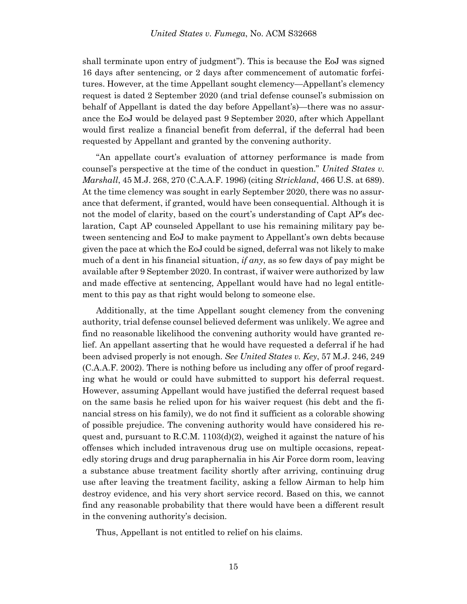shall terminate upon entry of judgment"). This is because the EoJ was signed 16 days after sentencing, or 2 days after commencement of automatic forfeitures. However, at the time Appellant sought clemency—Appellant's clemency request is dated 2 September 2020 (and trial defense counsel's submission on behalf of Appellant is dated the day before Appellant's)—there was no assurance the EoJ would be delayed past 9 September 2020, after which Appellant would first realize a financial benefit from deferral, if the deferral had been requested by Appellant and granted by the convening authority.

"An appellate court's evaluation of attorney performance is made from counsel's perspective at the time of the conduct in question." *United States v. Marshall*, 45 M.J. 268, 270 (C.A.A.F. 1996) (citing *Strickland*, 466 U.S. at 689). At the time clemency was sought in early September 2020, there was no assurance that deferment, if granted, would have been consequential. Although it is not the model of clarity, based on the court's understanding of Capt AP's declaration, Capt AP counseled Appellant to use his remaining military pay between sentencing and EoJ to make payment to Appellant's own debts because given the pace at which the EoJ could be signed, deferral was not likely to make much of a dent in his financial situation, *if any*, as so few days of pay might be available after 9 September 2020. In contrast, if waiver were authorized by law and made effective at sentencing, Appellant would have had no legal entitlement to this pay as that right would belong to someone else.

Additionally, at the time Appellant sought clemency from the convening authority, trial defense counsel believed deferment was unlikely. We agree and find no reasonable likelihood the convening authority would have granted relief. An appellant asserting that he would have requested a deferral if he had been advised properly is not enough. *See United States v. Key*, 57 M.J. 246, 249 (C.A.A.F. 2002). There is nothing before us including any offer of proof regarding what he would or could have submitted to support his deferral request. However, assuming Appellant would have justified the deferral request based on the same basis he relied upon for his waiver request (his debt and the financial stress on his family), we do not find it sufficient as a colorable showing of possible prejudice. The convening authority would have considered his request and, pursuant to R.C.M. 1103(d)(2), weighed it against the nature of his offenses which included intravenous drug use on multiple occasions, repeatedly storing drugs and drug paraphernalia in his Air Force dorm room, leaving a substance abuse treatment facility shortly after arriving, continuing drug use after leaving the treatment facility, asking a fellow Airman to help him destroy evidence, and his very short service record. Based on this, we cannot find any reasonable probability that there would have been a different result in the convening authority's decision.

Thus, Appellant is not entitled to relief on his claims.